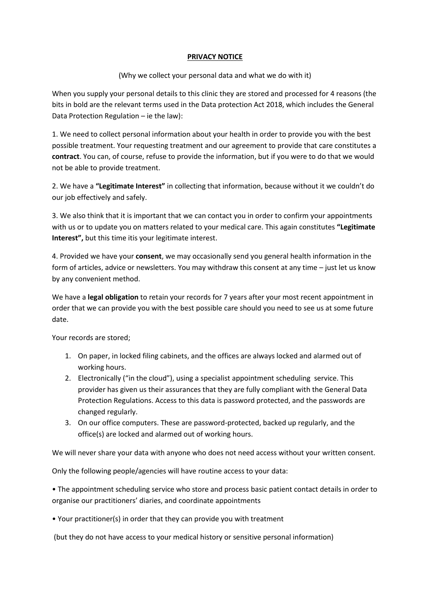## **PRIVACY NOTICE**

(Why we collect your personal data and what we do with it)

When you supply your personal details to this clinic they are stored and processed for 4 reasons (the bits in bold are the relevant terms used in the Data protection Act 2018, which includes the General Data Protection Regulation – ie the law):

1. We need to collect personal information about your health in order to provide you with the best possible treatment. Your requesting treatment and our agreement to provide that care constitutes a **contract**. You can, of course, refuse to provide the information, but if you were to do that we would not be able to provide treatment.

2. We have a **"Legitimate Interest"** in collecting that information, because without it we couldn't do our job effectively and safely.

3. We also think that it is important that we can contact you in order to confirm your appointments with us or to update you on matters related to your medical care. This again constitutes **"Legitimate Interest",** but this time itis your legitimate interest.

4. Provided we have your **consent**, we may occasionally send you general health information in the form of articles, advice or newsletters. You may withdraw this consent at any time – just let us know by any convenient method.

We have a **legal obligation** to retain your records for 7 years after your most recent appointment in order that we can provide you with the best possible care should you need to see us at some future date.

Your records are stored;

- 1. On paper, in locked filing cabinets, and the offices are always locked and alarmed out of working hours.
- 2. Electronically ("in the cloud"), using a specialist appointment scheduling service. This provider has given us their assurances that they are fully compliant with the General Data Protection Regulations. Access to this data is password protected, and the passwords are changed regularly.
- 3. On our office computers. These are password-protected, backed up regularly, and the office(s) are locked and alarmed out of working hours.

We will never share your data with anyone who does not need access without your written consent.

Only the following people/agencies will have routine access to your data:

• The appointment scheduling service who store and process basic patient contact details in order to organise our practitioners' diaries, and coordinate appointments

• Your practitioner(s) in order that they can provide you with treatment

(but they do not have access to your medical history or sensitive personal information)